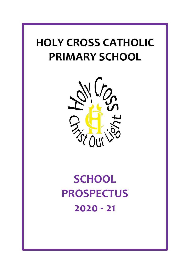# **HOLY CROSS CATHOLIC PRIMARY SCHOOL**



# **SCHOOL PROSPECTUS 2020 - 21**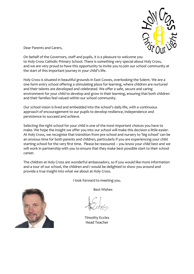

Dear Parents and Carers,

On behalf of the Governors, staff and pupils, it is a pleasure to welcome you to Holy Cross Catholic Primary School. There is something very special about Holy Cross, and we are very proud to have this opportunity to invite you to join our school community at the start of this important journey in your child's life.

Holy Cross is situated in beautiful grounds in East Cowes, overlooking the Solent. We are a one form entry school offering a stimulating place for learning, where children are nurtured and their talents are developed and celebrated. We offer a safe, secure and caring environment for your child to develop and grow in their learning, ensuring that both children and their families feel valued within our school community.

Our school vision is lived and embedded into the school's daily life, with a continuous approach of encouragement to our pupils to develop resilience, independence and persistence to succeed and achieve.

Selecting the right school for your child is one of the most important choices you have to make. We hope the insight we offer you into our school will make this decision a little easier. At Holy Cross, we recognise that transition from pre-school and nursery to 'big school' can be an anxious time for both parents and children, particularly if you are experiencing your child starting school for the very first time. Please be reassured – you know your child best and we will work in partnership with you to ensure that they make best possible start to their school career.

The children at Holy Cross are wonderful ambassadors, so if you would like more information and a tour of our school, the children and I would be delighted to show you around and provide a true insight into what we about at Holy Cross.



I look forward to meeting you.

Best Wishes

Timothy Eccles Head Teacher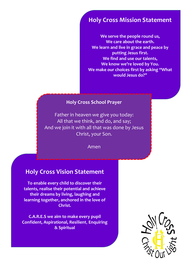# **Holy Cross Mission Statement**

**We serve the people round us, We care about the earth. We learn and live in grace and peace by putting Jesus first. We find and use our talents, We know we're loved by You. We make our choices first by asking "What would Jesus do?"** 

# **Holy Cross School Prayer**

Father in heaven we give you today: All that we think, and do, and say; And we join it with all that was done by Jesus Christ, your Son.

Amen

# **Holy Cross Vision Statement**

**Holy Cross School Prayer To enable every child to discover their talents, realise their potential and achieve their dreams by living, laughing and learning together, anchored in the love of Christ.**

**C.A.R.E.S we aim to make every pupil Confident, Aspirational, Resilient**, **Enquiring & Spiritual**

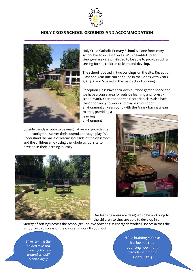

### **HOLY CROSS SCHOOL GROUNDS AND ACCOMMODATION**



Holy Cross Catholic Primary School is a one form entry school based in East Cowes. With beautiful Solent views,we are very privileged to be able to provide such a setting for the children to learn and develop.

The school is based in two buildings on the site. Reception Class and Year one can be found in the Annex with Years 2, 3, 4, 5 and 6 based in the main school building.

Reception Class have their own outdoor garden space and we have a copse area for outside learning and forestry school work. Year one and the Reception class also have the opportunity to work and play in an outdoor environment all year round with the Annex having a lean

to area, providing a learning environment

outside the classroom to be imaginative and provide the opportunity to discover their potential through play. We understand the value of learning outside of the classroom and the children enjoy using the whole school site to develop in their learning journey.





Our learning areas are designed to be nurturing to the children so they are able to develop in a

variety of settings across the school ground. We provide fun energetic working spaces across the school, with displays of the children's work throughout.

*I like running the golden mile and following the feet around school!' Sienna, age 7*

*'I like building a den in the bushes then counting how many friends I can fit in' Harry, age 5*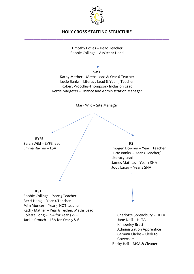

# **HOLY CROSS STAFFING STRUCTURE \_\_\_\_\_\_\_\_\_\_\_\_\_\_\_\_\_\_\_\_\_\_\_\_\_\_\_\_\_\_\_\_\_\_\_\_\_\_\_\_\_\_\_\_\_\_\_\_\_\_\_\_\_\_\_\_\_\_\_\_\_\_\_**



Kimberley Brett – Administration Apprentice Gemma Clarke – Clerk to Governors Becky Hall – MSA & Cleaner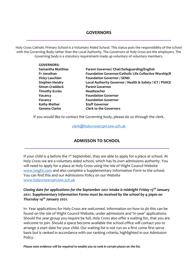# **GOVERNORS \_\_\_\_\_\_\_\_\_\_\_\_\_\_\_\_\_\_\_\_\_\_\_\_\_\_\_\_\_\_\_\_\_\_\_\_\_\_\_\_\_\_\_\_\_\_\_\_\_\_\_\_\_\_\_\_\_\_\_\_\_\_\_**

Holy Cross Catholic Primary School is a Voluntary Aided School. This status puts the responsibility of the school with the Governing Body rather than the Local Authority. The Governors at Holy Cross are the employers. The Governing body is a statutory requirement made up voluntary of voluntary members.

| <b>GOVERNORS:</b>     |                                                          |
|-----------------------|----------------------------------------------------------|
| Samantha Matthias     | Parent Governor/ Chair/Safeguarding/English              |
| Fr Jonathan           | Foundation Governor/Catholic Life Collective Worship/R   |
| <b>Vicky Lauchlan</b> | <b>Foundation Governor / SEND</b>                        |
| <b>Stephen Hendry</b> | Local Authority Governor / Health & Safety / ICT / PSHCE |
| <b>Simon Craddock</b> | <b>Parent Governor</b>                                   |
| <b>Timothy Eccles</b> | Headteacher                                              |
| Vacancy               | <b>Foundation Governor</b>                               |
| Vacancy               | <b>Foundation Governor</b>                               |
| <b>Kathy Mather</b>   | <b>Staff Governor</b>                                    |
| <b>Gemma Clarke</b>   | <b>Clerk to the Governors</b>                            |

If you would like to contact the Governing body, please do so through the clerk.

#### [clerk@holycrossrcpri.iow.sch.uk](mailto:clerk@holycrossrcpri.iow.sch.uk)

# **ADMISSON TO SCHOOL \_\_\_\_\_\_\_\_\_\_\_\_\_\_\_\_\_\_\_\_\_\_\_\_\_\_\_\_\_\_\_\_\_\_\_\_\_\_\_\_\_\_\_\_\_\_\_\_\_\_\_\_\_\_\_\_\_\_\_\_\_\_\_**

If your child is 4 before the  $1^{st}$  September, they are able to apply for a place at school. At Holy Cross we are a voluntary aided school, which has its own admissions authority. You will need to apply for a place at Holy Cross using the Isle of Wight Council Website [www.iwight.com](http://www.iwight.com/) and also complete a Supplementary Information Form to the school. You can find this and our Admissions Policy on our Website [www.holycrossrcpri.iow.sch.uk](http://www.holycrossrcpri.iow.sch.uk/)

#### *Closing date for applications for the September 2021 intake is midnight Friday 15th January 2021. Supplementary Information Forms must be received by the school by 4.30pm on Thursday 14th January 2021.*

In- Year applications for Holy Cross are welcomed. Information on how to do this can be found on the Isle of Wight Council Website, under admissions and 'in-year' applications. Should the year group you require be full, Holy Cross also offer a waiting list, that you are welcome to join. Should a space become available the school office will contact you to arrange a start date for your child. Our waiting list is not run on a first come first serve basis but is ranked in accordance with our ranking criteria, highlighted in our Admission Policy.

*Please note evidence will be required to enable you to rank in certain places on the list.*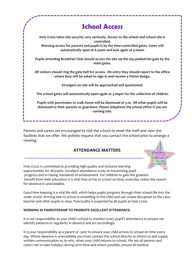# **School Access Holy Cross takes site security very seriously. Access to the school and school site is controlled. Morning access for parents and pupils is by the time-controlled gates. Gates will automatically open at 8.30am and lock again at 9.00am Pupils attending Breakfast Club should access the site via the top pedestrian gate by the main gates. All visitors should ring the gate bell for access. On entry they should report to the office where they will be asked to sign in and receive a Visitor Badge. Strangers on site will be approached and questioned. The school gates will automatically open again at 3.00pm for the collection of children Pupils with permission to walk home will be dismissed at 3.10. All other pupils will be dismissed to their parents or guardians. Please telephone the school office if you are running late.**

Parents and carers are encouraged to visit the school to meet the staff and view the facilities that we offer. We politely request that you contact the school prior to arrange a viewing.

## **ATTENDANCE MATTERS**



Holy Cross is committed to providing high quality and inclusive learning opportunities for all pupils. Excellent attendance is key to maximising pupil progress and in raising standards of achievement. For children to gain the greatest benefit from their education it is vital they arrive at school on time, everyday unless the reason for absence in unavoidable.

Good time keeping is a vital life skill, which helps pupils progress through their school life into the wider world. Arriving late to school is unsettling to the child and can create disruption to the class teacher and other pupils in class. Punctuality is expected by all pupils at Holy Cross.

#### **WORKING IN PARENTERSHIP TO PROMOTE EXCELLENT ATTENDANCE.**

It is our responsibility as your child's school to monitor every pupil's attendance to ensure we identify patterns or regularity in absence and act accordingly.

It is your responsibility as a parent or carer to ensure your child arrives to school on time every day. Where absence is unavoidable you must contact the school directly to inform us and supply written communication as to why, when your child returns to school. We ask all parents and carers not to take holidays during term time and where possible, ensure all medical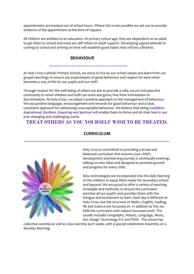appointments are booked out of school hours. Where this is not possible we ask you to provide evidence of the appointment at the time of request.

All children are entitled to an education. At primary school age, they are dependent on an adult to get them to school and most are still reliant on adult support. Developing a good attitude to coming to school and arriving on time will establish good habits that will last a lifetime.

#### **BEHAVIOUR**

 **\_\_\_\_\_\_\_\_\_\_\_\_\_\_\_\_\_\_\_\_\_\_\_\_\_\_\_\_\_\_\_\_\_\_**

At Holy Cross Catholic Primary School, we strive to live by our school values and learn from our gospel teachings to ensure our expectations of good behaviour and respect for each other becomes a way of life for our pupils and our staff.

Through respect for the well-being of others we aim to provide a safe, secure and peaceful community in which children and staff can work and grow; free from intimidation or discrimination. At Holy Cross, we adopt a positive approach to the management of behaviour. We use positive language, encouragement and rewards for good behaviour and a clear, consistent approach for addressing unacceptable behaviour. We believe that being *Confident, Aspirational, Resilient, Enquiring and Spiritual* will enable them to thrive and do their best in our ever changing and challenging world.

### **TREAT OTHERS AS YOU YOURSELF WISH TO BE TREATED.**



## **CURRICULUM \_\_\_\_\_\_\_\_\_\_\_\_\_\_\_\_\_\_\_\_\_\_\_\_\_\_\_\_\_\_\_\_\_\_\_\_\_\_\_\_\_\_\_\_\_\_\_\_\_\_\_\_\_\_\_\_\_\_\_\_\_\_\_**

Holy Cross is committed to providing a broad and balanced curriculum that ensures your child's development and learning journey is continually evolving, talking on new ideas and designed to promote growth and progress for every child.

New technologies are incorporated into the daily learning of the children to equip them ready for secondary school and beyond. We are proud to offer a variety of teaching strategies and methods, to ensure the curriculum enriches all our pupil's and provides them with the intrigue and excitement to learn. Each day is different at Holy Cross, but the structure of Maths, English, reading, RE and Science are focussed on. In addition to this we fulfil the curriculum with subject focussed work. This usually includes Geography, History, Language, Music, Art, Design Technology P.E and PSHE. The school has

collective worship as well as class worship each week, with a special Celebration Assembly on a Monday Morning.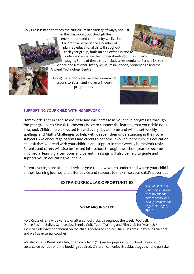Holy Cross is keen to teach the curriculum in a variety of ways, not just





taught. Some of these trips include a residential to Paris, trips to the Science and National History Museum in London, Stonehenge and the

Ancient Technology Centre.

During the school year we offer swimming lessons to Year 1 and 4 over a 6-week programme.

Children will experience a number of planned educational visits throughout



#### **SUPPORTING YOUR CHILD WITH HOMEWORK**

Homework is set in each school year and will increase as your child progresses through the year groups to Year 6. Homework is set to support the learning that your child does in school. Children are expected to read every day at home and will be set weekly spellings and Maths Challenges to help with deepen their understanding in their core subjects. We encourage parents and carers to become involved in their child's education and ask that you read with your children and support in their weekly homework tasks. Parents and carers will also be invited into school through the school year to become involved in learning afternoons and parent meetings will also be held to guide and support you in educating your child.

Parent evenings are also held twice a year to allow you to understand where your child is in their learning journey and offer advice and support to maximise your child's potential.

# **EXTRA-CURRICULAR OPPORTUNITIES**

**b** reinfust club is<br>fun! I eniov nlavin '*Breakfast club is fun! I enjoy playing with my friends before school and having breakfast all together'* Logan, age 7

#### **WRAP AROUND CARE**

Holy Cross offer a wide variety of after school clubs throughout the week. Football, Dance Fusion, Ballet, Gymnastics, Tennis, Golf, Team Training and Film Club for Year 5 & 6. Cost of clubs vary dependant on the child's preferred choice. Our clubs are run by our Teachers and well as external coaches.

We also offer a Breakfast Club, open daily from 7.45am for pupils at our School. Breakfast Club costs £2.50 per day with no booking required. Children can enjoy Breakfast together and partake

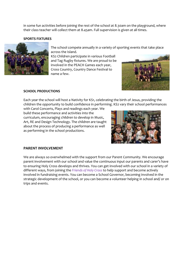in some fun activities before joining the rest of the school at 8.30am on the playground, where their class teacher will collect them at 8.45am. Full supervision is given at all times.

#### **SPORTS FIXTURES**



The school compete annually in a variety of sporting events that take place across the Island.

KS2 Children participate in various Football and Tag Rugby fixtures. We are proud to be involved in the PEACH Games each year, Cross Country, Country Dance Festival to name a few.



#### **SCHOOL PRODUCTIONS**

Each year the school will host a Nativity for KS1, celebrating the birth of Jesus, providing the children the opportunity to build confidence in performing. KS2 vary their school performances

with Carol Concerts, Plays and readings each year. We build these performance and activities into the curriculum, encouraging children to develop in Music, Art, RE and Design Technology. The children are taught about the process of producing a performance as well as performing in the school productions.



#### **PARENT INVOLVEMENT**

We are always so overwhelmed with the support from our Parent Community. We encourage parent involvement with our school and value the continuous input our parents and carer's have to ensuring Holy Cross develops and thrives. You can get involved with our school in a variety of different ways, from joining the *Friends of Holy Cross* to help support and become actively involved in fundraising events. You can become a School Governor, becoming involved in the strategic development of the school, or you can become a volunteer helping in school and/ or on trips and events.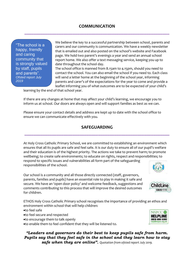"The school is a happy, friendly and caring community that is strongly valued by staff, pupils and parents". *Ofsted report July 2019*

We believe the key to a successful partnership between school, parents and carers and our community is communication. We have a weekly newsletter that is emailed out and also posted on the school's website and Facebook page. We hold two parent's evenings a year and send an annual school report home. We also offer a text messaging service, keeping you up to date throughout the school day.

The school office is manned from 8.15am to 4.15pm, should you need to contact the school. You can also email the school if you need to. Each class will send a letter home at the beginning of the school year, informing parents and carer's of the expectations for the year to come and provide a leaflet informing you of what outcomes are to be expected of your child's

learning by the end of that school year.

If there are any changes at home that may affect your child's learning, we encourage you to inform us at school. Our doors are always open and will support families as best as we can.

Please ensure your contact details and address are kept up to date with the school office to ensure we can communicate effectively with you.

# **SAFEGUARDING \_\_\_\_\_\_\_\_\_\_\_\_\_\_\_\_\_\_\_\_\_\_\_\_\_\_\_\_\_\_\_\_\_\_\_\_\_\_\_\_\_\_\_\_\_\_\_\_\_\_\_\_\_\_\_\_\_\_\_\_\_\_\_**

At Holy Cross Catholic Primary School, we are committed to establishing an environment which ensures that all its pupils are safe and feel safe. It is our duty to ensure all of our pupil's welfare and their education is of the highest priority. The actions we take to prevent harm; to promote wellbeing; to create safe environments; to educate on rights, respect and responsibilities; to respond to specific issues and vulnerabilities all form part of the safeguarding responsibilities of the school.

Our school is a community and all those directly connected (staff, governors, parents, families and pupils) have an essential role to play in making it safe and secure. We have an 'open door policy' and welcome feedback, suggestions and comments contributing to this process that will improve the desired outcomes for children.

ETHOS Holy Cross Catholic Primary school recognises the importance of providing an ethos and environment within school that will help children:

#### •to feel safe

- •to feel secure and respected
- •to encourage them to talk openly

•to enable them to feel confident that they will be listened to.

*"Leaders and governors do their best to keep pupils safe from harm. Pupils say that they feel safe in the school and they learn how to stay safe when they are online". Quotation from ofsted report July 2019.*